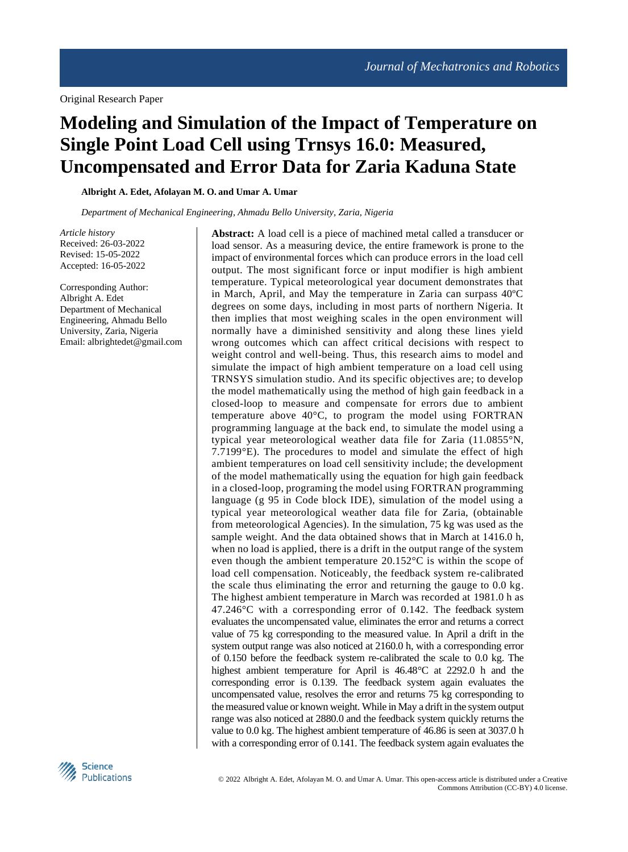# **Modeling and Simulation of the Impact of Temperature on Single Point Load Cell using Trnsys 16.0: Measured, Uncompensated and Error Data for Zaria Kaduna State**

**Albright A. Edet, Afolayan M. O. and Umar A. Umar**

*Department of Mechanical Engineering, Ahmadu Bello University, Zaria, Nigeria*

*Article history* Received: 26-03-2022 Revised: 15-05-2022 Accepted: 16-05-2022

Corresponding Author: Albright A. Edet Department of Mechanical Engineering, Ahmadu Bello University, Zaria, Nigeria Email: albrightedet@gmail.com **Abstract:** A load cell is a piece of machined metal called a transducer or load sensor. As a measuring device, the entire framework is prone to the impact of environmental forces which can produce errors in the load cell output. The most significant force or input modifier is high ambient temperature. Typical meteorological year document demonstrates that in March, April, and May the temperature in Zaria can surpass 40ºC degrees on some days, including in most parts of northern Nigeria. It then implies that most weighing scales in the open environment will normally have a diminished sensitivity and along these lines yield wrong outcomes which can affect critical decisions with respect to weight control and well-being. Thus, this research aims to model and simulate the impact of high ambient temperature on a load cell using TRNSYS simulation studio. And its specific objectives are; to develop the model mathematically using the method of high gain feedback in a closed-loop to measure and compensate for errors due to ambient temperature above 40°C, to program the model using FORTRAN programming language at the back end, to simulate the model using a typical year meteorological weather data file for Zaria (11.0855°N, 7.7199°E). The procedures to model and simulate the effect of high ambient temperatures on load cell sensitivity include; the development of the model mathematically using the equation for high gain feedback in a closed-loop, programing the model using FORTRAN programming language (g 95 in Code block IDE), simulation of the model using a typical year meteorological weather data file for Zaria, (obtainable from meteorological Agencies). In the simulation, 75 kg was used as the sample weight. And the data obtained shows that in March at 1416.0 h, when no load is applied, there is a drift in the output range of the system even though the ambient temperature 20.152°C is within the scope of load cell compensation. Noticeably, the feedback system re-calibrated the scale thus eliminating the error and returning the gauge to 0.0 kg. The highest ambient temperature in March was recorded at 1981.0 h as 47.246°C with a corresponding error of 0.142. The feedback system evaluates the uncompensated value, eliminates the error and returns a correct value of 75 kg corresponding to the measured value. In April a drift in the system output range was also noticed at 2160.0 h, with a corresponding error of 0.150 before the feedback system re-calibrated the scale to 0.0 kg. The highest ambient temperature for April is 46.48°C at 2292.0 h and the corresponding error is 0.139. The feedback system again evaluates the uncompensated value, resolves the error and returns 75 kg corresponding to the measured value or known weight. While in May a drift in the system output range was also noticed at 2880.0 and the feedback system quickly returns the value to 0.0 kg. The highest ambient temperature of 46.86 is seen at 3037.0 h with a corresponding error of 0.141. The feedback system again evaluates the

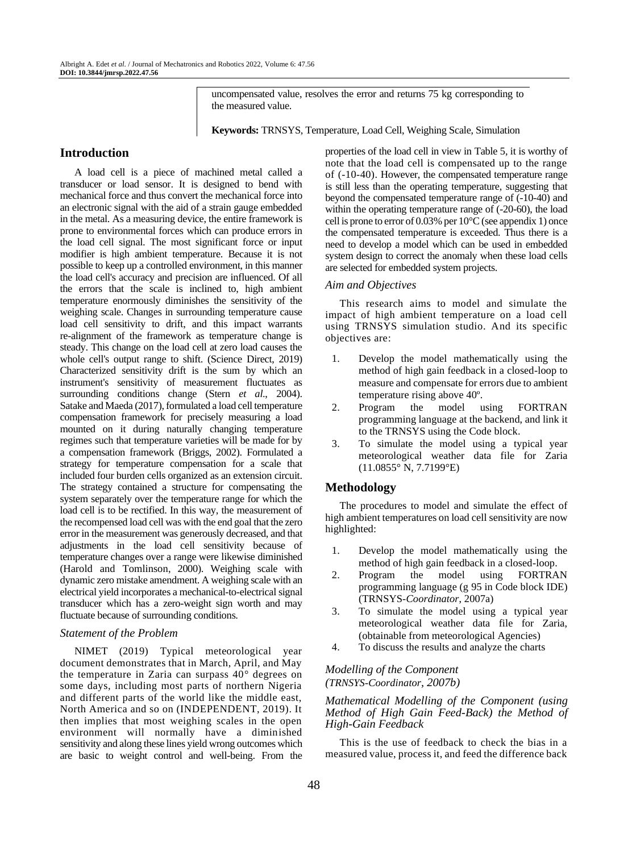uncompensated value, resolves the error and returns 75 kg corresponding to the measured value.

**Keywords:** TRNSYS, Temperature, Load Cell, Weighing Scale, Simulation

# **Introduction**

A load cell is a piece of machined metal called a transducer or load sensor. It is designed to bend with mechanical force and thus convert the mechanical force into an electronic signal with the aid of a strain gauge embedded in the metal. As a measuring device, the entire framework is prone to environmental forces which can produce errors in the load cell signal. The most significant force or input modifier is high ambient temperature. Because it is not possible to keep up a controlled environment, in this manner the load cell's accuracy and precision are influenced. Of all the errors that the scale is inclined to, high ambient temperature enormously diminishes the sensitivity of the weighing scale. Changes in surrounding temperature cause load cell sensitivity to drift, and this impact warrants re-alignment of the framework as temperature change is steady. This change on the load cell at zero load causes the whole cell's output range to shift. (Science Direct, 2019) Characterized sensitivity drift is the sum by which an instrument's sensitivity of measurement fluctuates as surrounding conditions change (Stern *et al*., 2004). Satake and Maeda (2017), formulated a load cell temperature compensation framework for precisely measuring a load mounted on it during naturally changing temperature regimes such that temperature varieties will be made for by a compensation framework (Briggs, 2002). Formulated a strategy for temperature compensation for a scale that included four burden cells organized as an extension circuit. The strategy contained a structure for compensating the system separately over the temperature range for which the load cell is to be rectified. In this way, the measurement of the recompensed load cell was with the end goal that the zero error in the measurement was generously decreased, and that adjustments in the load cell sensitivity because of temperature changes over a range were likewise diminished (Harold and Tomlinson, 2000). Weighing scale with dynamic zero mistake amendment. A weighing scale with an electrical yield incorporates a mechanical-to-electrical signal transducer which has a zero-weight sign worth and may fluctuate because of surrounding conditions.

# *Statement of the Problem*

NIMET (2019) Typical meteorological year document demonstrates that in March, April, and May the temperature in Zaria can surpass 40° degrees on some days, including most parts of northern Nigeria and different parts of the world like the middle east, North America and so on (INDEPENDENT, 2019). It then implies that most weighing scales in the open environment will normally have a diminished sensitivity and along these lines yield wrong outcomes which are basic to weight control and well-being. From the

properties of the load cell in view in Table 5, it is worthy of note that the load cell is compensated up to the range of (-10-40). However, the compensated temperature range is still less than the operating temperature, suggesting that beyond the compensated temperature range of (-10-40) and within the operating temperature range of (-20-60), the load cell is prone to error of 0.03% per 10°C (see appendix 1) once the compensated temperature is exceeded. Thus there is a need to develop a model which can be used in embedded system design to correct the anomaly when these load cells are selected for embedded system projects.

#### *Aim and Objectives*

This research aims to model and simulate the impact of high ambient temperature on a load cell using TRNSYS simulation studio. And its specific objectives are:

- 1. Develop the model mathematically using the method of high gain feedback in a closed-loop to measure and compensate for errors due to ambient temperature rising above 40º.
- 2. Program the model using FORTRAN programming language at the backend, and link it to the TRNSYS using the Code block.
- 3. To simulate the model using a typical year meteorological weather data file for Zaria (11.0855° N, 7.7199°E)

## **Methodology**

The procedures to model and simulate the effect of high ambient temperatures on load cell sensitivity are now highlighted:

- 1. Develop the model mathematically using the method of high gain feedback in a closed-loop.
- 2. Program the model using FORTRAN programming language (g 95 in Code block IDE) (TRNSYS-*Coordinator*, 2007a)
- 3. To simulate the model using a typical year meteorological weather data file for Zaria, (obtainable from meteorological Agencies)
- 4. To discuss the results and analyze the charts

## *Modelling of the Component (TRNSYS*-*Coordinator, 2007b)*

#### *Mathematical Modelling of the Component (using Method of High Gain Feed-Back) the Method of High-Gain Feedback*

This is the use of feedback to check the bias in a measured value, process it, and feed the difference back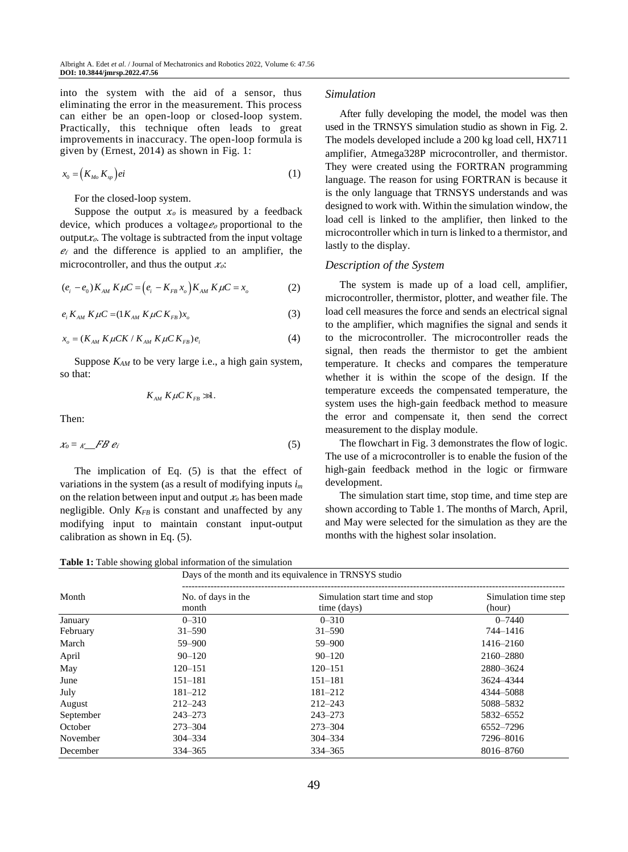into the system with the aid of a sensor, thus eliminating the error in the measurement. This process can either be an open-loop or closed-loop system. Practically, this technique often leads to great improvements in inaccuracy. The open-loop formula is given by (Ernest, 2014) as shown in Fig. 1:

$$
x_0 = (K_{M_o} K_{sp})ei \tag{1}
$$

For the closed-loop system.

Suppose the output  $x_0$  is measured by a feedback device, which produces a voltage  $e_0$  proportional to the output $x_0$ . The voltage is subtracted from the input voltage  $e_i$  and the difference is applied to an amplifier, the microcontroller, and thus the output  $x<sub>o</sub>$ :

$$
(e_i - e_0) K_{AM} K \mu C = (e_i - K_{FB} x_o) K_{AM} K \mu C = x_o
$$
 (2)

$$
e_i K_{AM} K \mu C = (1 K_{AM} K \mu C K_{FB}) x_o \tag{3}
$$

$$
x_o = (K_{AM} K \mu C K / K_{AM} K \mu C K_{FB}) e_i
$$
 (4)

Suppose *KAM* to be very large i.e., a high gain system, so that:

$$
K_{AM} K \mu C K_{FB} \gg 1.
$$

Then:

$$
x_0 = \kappa \quad \text{FB } e_i \tag{5}
$$

The implication of Eq. (5) is that the effect of variations in the system (as a result of modifying inputs *i<sup>m</sup>* on the relation between input and output  $x_0$  has been made negligible. Only  $K_{FB}$  is constant and unaffected by any modifying input to maintain constant input-output calibration as shown in Eq. (5).

**Table 1:** Table showing global information of the simulation

## *Simulation*

After fully developing the model, the model was then used in the TRNSYS simulation studio as shown in Fig. 2. The models developed include a 200 kg load cell, HX711 amplifier, Atmega328P microcontroller, and thermistor. They were created using the FORTRAN programming language. The reason for using FORTRAN is because it is the only language that TRNSYS understands and was designed to work with. Within the simulation window, the load cell is linked to the amplifier, then linked to the microcontroller which in turn is linked to a thermistor, and lastly to the display.

#### *Description of the System*

The system is made up of a load cell, amplifier, microcontroller, thermistor, plotter, and weather file. The load cell measures the force and sends an electrical signal to the amplifier, which magnifies the signal and sends it to the microcontroller. The microcontroller reads the signal, then reads the thermistor to get the ambient temperature. It checks and compares the temperature whether it is within the scope of the design. If the temperature exceeds the compensated temperature, the system uses the high-gain feedback method to measure the error and compensate it, then send the correct measurement to the display module.

The flowchart in Fig. 3 demonstrates the flow of logic. The use of a microcontroller is to enable the fusion of the high-gain feedback method in the logic or firmware development.

The simulation start time, stop time, and time step are shown according to Table 1. The months of March, April, and May were selected for the simulation as they are the months with the highest solar insolation.

|          | Days of the month and its equivalence in TRNSYS studio |                                               |                                |  |  |  |
|----------|--------------------------------------------------------|-----------------------------------------------|--------------------------------|--|--|--|
| Month    | No. of days in the<br>month                            | Simulation start time and stop<br>time (days) | Simulation time step<br>(hour) |  |  |  |
| January  | $0 - 310$                                              | $0 - 310$                                     | $0 - 7440$                     |  |  |  |
| February | $31 - 590$                                             | $31 - 590$                                    | 744–1416                       |  |  |  |

month time (days) (hour) January 0–310 0–310 0–7440 February 31–590 31–590 744–1416 March 59–900 59–900 1416–2160 April 90–120 90–120 2160–2880 May 120–151 120 120 120 120 120 151 2880 3624 June 151–181 151–181 151–181 151–181 3624–4344 July 181–212 181–212 4344–5088 August 212–243 212–243 5088–5832 September 243–273 243–273 5832–6552 October 273–304 273–304 6552–7296 November 304–334 304–334 304–334 304–334 7296–8016 December 334–365 334–365 8016–8760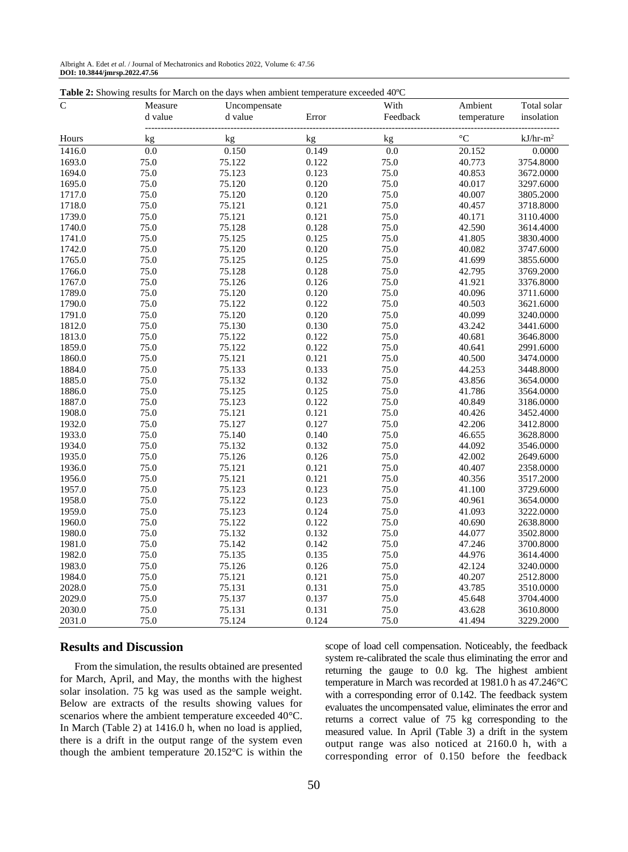| Albright A. Edet et al. / Journal of Mechatronics and Robotics 2022, Volume 6: 47.56 |  |
|--------------------------------------------------------------------------------------|--|
| DOI: 10.3844/jmrsp.2022.47.56                                                        |  |

| Table 2: Showing results for March on the days when ambient temperature exceeded 40°C |  |  |  |
|---------------------------------------------------------------------------------------|--|--|--|
|---------------------------------------------------------------------------------------|--|--|--|

| $\mathsf{C}$ | Measure | Uncompensate |       | With     | Ambient         | Total solar |
|--------------|---------|--------------|-------|----------|-----------------|-------------|
|              | d value | d value      | Error | Feedback | temperature     | insolation  |
|              |         |              |       |          |                 |             |
| Hours        | kg      | kg           | kg    | kg       | $\rm ^{\circ}C$ | $kJ/hr-m2$  |
| 1416.0       | 0.0     | 0.150        | 0.149 | 0.0      | 20.152          | 0.0000      |
| 1693.0       | 75.0    | 75.122       | 0.122 | 75.0     | 40.773          | 3754.8000   |
| 1694.0       | 75.0    | 75.123       | 0.123 | 75.0     | 40.853          | 3672.0000   |
| 1695.0       | 75.0    | 75.120       | 0.120 | 75.0     | 40.017          | 3297.6000   |
| 1717.0       | 75.0    | 75.120       | 0.120 | 75.0     | 40.007          | 3805.2000   |
| 1718.0       | 75.0    | 75.121       | 0.121 | 75.0     | 40.457          | 3718.8000   |
| 1739.0       | 75.0    | 75.121       | 0.121 | 75.0     | 40.171          | 3110.4000   |
| 1740.0       | 75.0    | 75.128       | 0.128 | 75.0     | 42.590          | 3614.4000   |
| 1741.0       | 75.0    | 75.125       | 0.125 | 75.0     | 41.805          | 3830.4000   |
| 1742.0       | 75.0    | 75.120       | 0.120 | 75.0     | 40.082          | 3747.6000   |
| 1765.0       | 75.0    | 75.125       | 0.125 | 75.0     | 41.699          | 3855.6000   |
| 1766.0       | 75.0    | 75.128       | 0.128 | 75.0     | 42.795          | 3769.2000   |
| 1767.0       | 75.0    | 75.126       | 0.126 | 75.0     | 41.921          | 3376.8000   |
| 1789.0       | 75.0    | 75.120       | 0.120 | 75.0     | 40.096          | 3711.6000   |
| 1790.0       | 75.0    | 75.122       | 0.122 | 75.0     | 40.503          | 3621.6000   |
| 1791.0       | 75.0    | 75.120       | 0.120 | 75.0     | 40.099          | 3240.0000   |
| 1812.0       | 75.0    | 75.130       | 0.130 | 75.0     | 43.242          | 3441.6000   |
| 1813.0       | 75.0    | 75.122       | 0.122 | 75.0     | 40.681          | 3646.8000   |
| 1859.0       | 75.0    | 75.122       | 0.122 | 75.0     | 40.641          | 2991.6000   |
| 1860.0       | 75.0    | 75.121       | 0.121 | 75.0     | 40.500          | 3474.0000   |
| 1884.0       | 75.0    | 75.133       | 0.133 | 75.0     | 44.253          | 3448.8000   |
| 1885.0       | 75.0    | 75.132       | 0.132 | 75.0     | 43.856          | 3654.0000   |
| 1886.0       | 75.0    | 75.125       | 0.125 | 75.0     | 41.786          | 3564.0000   |
| 1887.0       | 75.0    | 75.123       | 0.122 | 75.0     | 40.849          | 3186.0000   |
| 1908.0       | 75.0    | 75.121       | 0.121 | 75.0     | 40.426          | 3452.4000   |
| 1932.0       | 75.0    | 75.127       | 0.127 | 75.0     | 42.206          | 3412.8000   |
| 1933.0       | 75.0    | 75.140       | 0.140 | 75.0     | 46.655          | 3628.8000   |
| 1934.0       | 75.0    | 75.132       | 0.132 | 75.0     | 44.092          | 3546.0000   |
| 1935.0       | 75.0    | 75.126       | 0.126 | 75.0     | 42.002          | 2649.6000   |
| 1936.0       | 75.0    | 75.121       | 0.121 | 75.0     | 40.407          | 2358.0000   |
| 1956.0       | 75.0    | 75.121       | 0.121 | 75.0     | 40.356          | 3517.2000   |
| 1957.0       | 75.0    | 75.123       | 0.123 | 75.0     | 41.100          | 3729.6000   |
| 1958.0       | 75.0    | 75.122       | 0.123 | 75.0     | 40.961          | 3654.0000   |
| 1959.0       | 75.0    | 75.123       | 0.124 | 75.0     | 41.093          | 3222.0000   |
| 1960.0       | 75.0    | 75.122       | 0.122 | 75.0     | 40.690          | 2638.8000   |
| 1980.0       | 75.0    | 75.132       | 0.132 | 75.0     | 44.077          | 3502.8000   |
| 1981.0       | 75.0    | 75.142       | 0.142 | 75.0     | 47.246          | 3700.8000   |
| 1982.0       | 75.0    | 75.135       | 0.135 | 75.0     | 44.976          | 3614.4000   |
| 1983.0       | 75.0    | 75.126       | 0.126 | 75.0     | 42.124          | 3240.0000   |
| 1984.0       | 75.0    | 75.121       | 0.121 | 75.0     | 40.207          | 2512.8000   |
| 2028.0       | 75.0    | 75.131       | 0.131 | 75.0     | 43.785          | 3510.0000   |
| 2029.0       | 75.0    | 75.137       | 0.137 | 75.0     | 45.648          | 3704.4000   |
| 2030.0       | 75.0    | 75.131       | 0.131 | 75.0     | 43.628          | 3610.8000   |
| 2031.0       | 75.0    | 75.124       | 0.124 | 75.0     | 41.494          | 3229.2000   |

#### **Results and Discussion**

From the simulation, the results obtained are presented for March, April, and May, the months with the highest solar insolation. 75 kg was used as the sample weight. Below are extracts of the results showing values for scenarios where the ambient temperature exceeded 40°C. In March (Table 2) at 1416.0 h, when no load is applied, there is a drift in the output range of the system even though the ambient temperature 20.152°C is within the scope of load cell compensation. Noticeably, the feedback system re-calibrated the scale thus eliminating the error and returning the gauge to 0.0 kg. The highest ambient temperature in March was recorded at 1981.0 h as 47.246°C with a corresponding error of 0.142. The feedback system evaluates the uncompensated value, eliminates the error and returns a correct value of 75 kg corresponding to the measured value. In April (Table 3) a drift in the system output range was also noticed at 2160.0 h, with a corresponding error of 0.150 before the feedback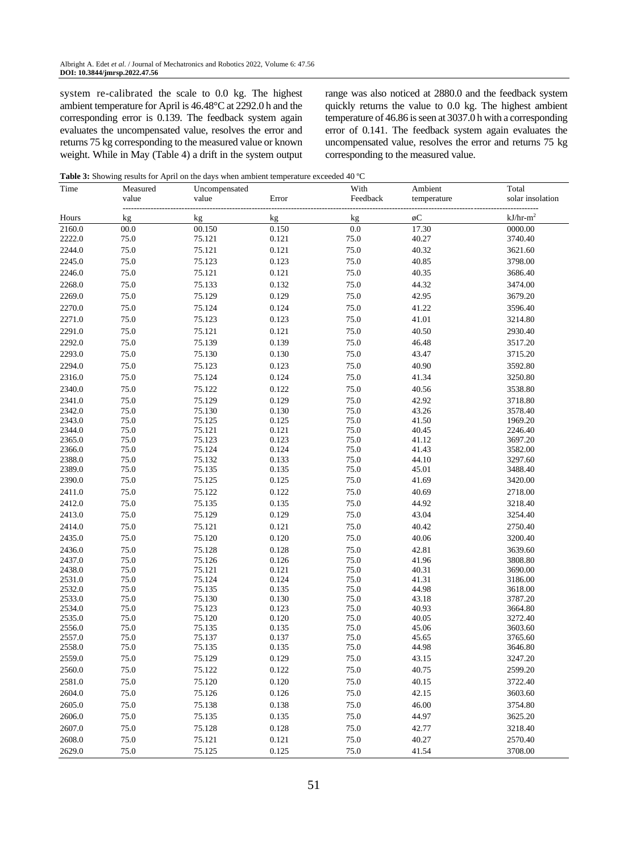system re-calibrated the scale to 0.0 kg. The highest ambient temperature for April is 46.48°C at 2292.0 h and the corresponding error is 0.139. The feedback system again evaluates the uncompensated value, resolves the error and returns 75 kg corresponding to the measured value or known weight. While in May (Table 4) a drift in the system output range was also noticed at 2880.0 and the feedback system quickly returns the value to 0.0 kg. The highest ambient temperature of 46.86 is seen at 3037.0 h with a corresponding error of 0.141. The feedback system again evaluates the uncompensated value, resolves the error and returns 75 kg corresponding to the measured value.

**Table 3:** Showing results for April on the days when ambient temperature exceeded 40 ºC

| Time             | Measured     | Uncompensated    |                | With         | Ambient        | Total              |
|------------------|--------------|------------------|----------------|--------------|----------------|--------------------|
|                  | value        | value            | Error          | Feedback     | temperature    | solar insolation   |
| Hours            | kg           | kg               | kg             | kg           | øС             | .<br>$kJ/hr-m2$    |
| 2160.0           | 00.0         | 00.150           | 0.150          | 0.0          | 17.30          | 0000.00            |
| 2222.0           | 75.0         | 75.121           | 0.121          | 75.0         | 40.27          | 3740.40            |
| 2244.0           | 75.0         | 75.121           | 0.121          | 75.0         | 40.32          | 3621.60            |
| 2245.0           | 75.0         | 75.123           | 0.123          | 75.0         | 40.85          | 3798.00            |
| 2246.0           | 75.0         | 75.121           | 0.121          | 75.0         | 40.35          | 3686.40            |
| 2268.0           | 75.0         | 75.133           | 0.132          | 75.0         | 44.32          | 3474.00            |
| 2269.0           | 75.0         | 75.129           | 0.129          | 75.0         | 42.95          | 3679.20            |
| 2270.0           | 75.0         | 75.124           | 0.124          | 75.0         | 41.22          | 3596.40            |
| 2271.0           | 75.0         | 75.123           | 0.123          | 75.0         | 41.01          | 3214.80            |
| 2291.0           | 75.0         | 75.121           | 0.121          | 75.0         | 40.50          | 2930.40            |
| 2292.0           | 75.0         | 75.139           | 0.139          | 75.0         | 46.48          | 3517.20            |
| 2293.0           | 75.0         | 75.130           | 0.130          | 75.0         | 43.47          | 3715.20            |
| 2294.0           | 75.0         | 75.123           | 0.123          | 75.0         | 40.90          | 3592.80            |
| 2316.0           | 75.0         | 75.124           | 0.124          | 75.0         | 41.34          | 3250.80            |
| 2340.0           | 75.0         | 75.122           | 0.122          | 75.0         | 40.56          | 3538.80            |
| 2341.0           | 75.0         | 75.129           | 0.129          | 75.0         | 42.92          | 3718.80            |
| 2342.0           | 75.0         | 75.130           | 0.130          | 75.0         | 43.26          | 3578.40            |
| 2343.0           | 75.0         | 75.125           | 0.125          | 75.0         | 41.50          | 1969.20            |
| 2344.0           | 75.0         | 75.121           | 0.121          | 75.0         | 40.45          | 2246.40            |
| 2365.0           | 75.0         | 75.123           | 0.123          | 75.0         | 41.12          | 3697.20            |
| 2366.0           | 75.0         | 75.124           | 0.124          | 75.0         | 41.43          | 3582.00            |
| 2388.0           | 75.0         | 75.132           | 0.133          | 75.0         | 44.10          | 3297.60            |
| 2389.0           | 75.0         | 75.135           | 0.135          | 75.0         | 45.01          | 3488.40            |
| 2390.0           | 75.0         | 75.125           | 0.125          | 75.0         | 41.69          | 3420.00            |
| 2411.0           | 75.0         | 75.122           | 0.122          | 75.0         | 40.69          | 2718.00            |
| 2412.0           | 75.0         | 75.135           | 0.135          | 75.0         | 44.92          | 3218.40            |
| 2413.0           | 75.0         | 75.129           | 0.129          | 75.0         | 43.04          | 3254.40            |
| 2414.0           | 75.0         | 75.121           | 0.121          | 75.0         | 40.42          | 2750.40            |
| 2435.0           | 75.0         | 75.120           | 0.120          | 75.0         | 40.06          | 3200.40            |
| 2436.0           | 75.0         | 75.128           | 0.128          | 75.0         | 42.81          | 3639.60            |
| 2437.0           | 75.0         | 75.126           | 0.126          | 75.0         | 41.96          | 3808.80            |
| 2438.0<br>2531.0 | 75.0<br>75.0 | 75.121<br>75.124 | 0.121<br>0.124 | 75.0<br>75.0 | 40.31<br>41.31 | 3690.00<br>3186.00 |
| 2532.0           | 75.0         | 75.135           | 0.135          | 75.0         | 44.98          | 3618.00            |
| 2533.0           | 75.0         | 75.130           | 0.130          | 75.0         | 43.18          | 3787.20            |
| 2534.0           | 75.0         | 75.123           | 0.123          | 75.0         | 40.93          | 3664.80            |
| 2535.0           | 75.0         | 75.120           | 0.120          | 75.0         | 40.05          | 3272.40            |
| 2556.0           | 75.0         | 75.135           | 0.135          | 75.0         | 45.06          | 3603.60            |
| 2557.0           | 75.0         | 75.137           | 0.137          | 75.0         | 45.65          | 3765.60            |
| 2558.0           | 75.0         | 75.135           | 0.135          | 75.0         | 44.98          | 3646.80            |
| 2559.0           | 75.0         | 75.129           | 0.129          | 75.0         | 43.15          | 3247.20            |
| 2560.0           | 75.0         | 75.122           | 0.122          | 75.0         | 40.75          | 2599.20            |
| 2581.0           | 75.0         | 75.120           | 0.120          | 75.0         | 40.15          | 3722.40            |
| 2604.0           | 75.0         | 75.126           | 0.126          | 75.0         | 42.15          | 3603.60            |
| 2605.0           | 75.0         | 75.138           | 0.138          | 75.0         | 46.00          | 3754.80            |
| 2606.0           | 75.0         | 75.135           | 0.135          | 75.0         | 44.97          | 3625.20            |
| 2607.0           | 75.0         | 75.128           | 0.128          | 75.0         | 42.77          | 3218.40            |
| 2608.0           | 75.0         | 75.121           | 0.121          | 75.0         | 40.27          | 2570.40            |
| 2629.0           | 75.0         | 75.125           | 0.125          | 75.0         | 41.54          | 3708.00            |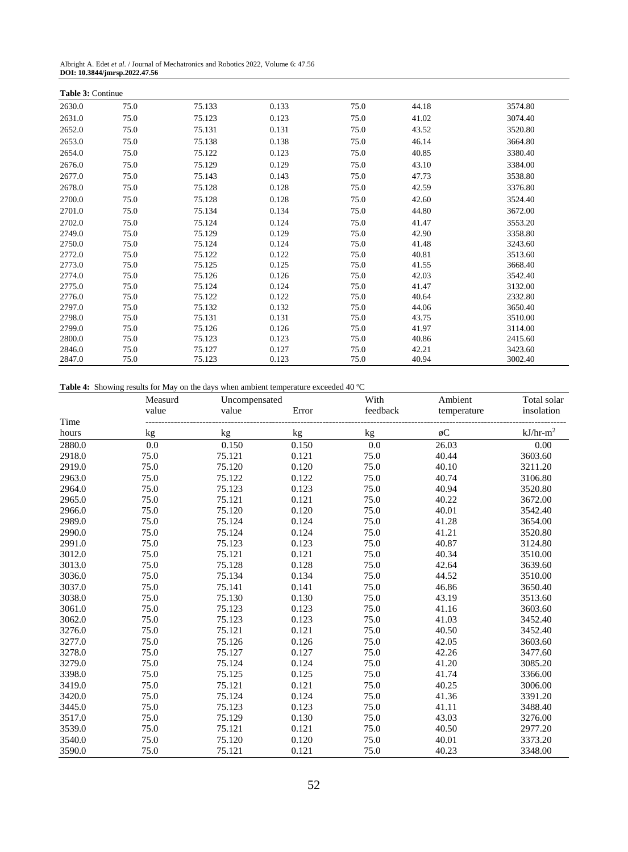| Albright A. Edet et al. / Journal of Mechatronics and Robotics 2022, Volume 6: 47.56 |  |
|--------------------------------------------------------------------------------------|--|
| DOI: 10.3844/jmrsp.2022.47.56                                                        |  |

| <b>Table 3: Continue</b> |      |        |       |      |       |         |
|--------------------------|------|--------|-------|------|-------|---------|
| 2630.0                   | 75.0 | 75.133 | 0.133 | 75.0 | 44.18 | 3574.80 |
| 2631.0                   | 75.0 | 75.123 | 0.123 | 75.0 | 41.02 | 3074.40 |
| 2652.0                   | 75.0 | 75.131 | 0.131 | 75.0 | 43.52 | 3520.80 |
| 2653.0                   | 75.0 | 75.138 | 0.138 | 75.0 | 46.14 | 3664.80 |
| 2654.0                   | 75.0 | 75.122 | 0.123 | 75.0 | 40.85 | 3380.40 |
| 2676.0                   | 75.0 | 75.129 | 0.129 | 75.0 | 43.10 | 3384.00 |
| 2677.0                   | 75.0 | 75.143 | 0.143 | 75.0 | 47.73 | 3538.80 |
| 2678.0                   | 75.0 | 75.128 | 0.128 | 75.0 | 42.59 | 3376.80 |
| 2700.0                   | 75.0 | 75.128 | 0.128 | 75.0 | 42.60 | 3524.40 |
| 2701.0                   | 75.0 | 75.134 | 0.134 | 75.0 | 44.80 | 3672.00 |
| 2702.0                   | 75.0 | 75.124 | 0.124 | 75.0 | 41.47 | 3553.20 |
| 2749.0                   | 75.0 | 75.129 | 0.129 | 75.0 | 42.90 | 3358.80 |
| 2750.0                   | 75.0 | 75.124 | 0.124 | 75.0 | 41.48 | 3243.60 |
| 2772.0                   | 75.0 | 75.122 | 0.122 | 75.0 | 40.81 | 3513.60 |
| 2773.0                   | 75.0 | 75.125 | 0.125 | 75.0 | 41.55 | 3668.40 |
| 2774.0                   | 75.0 | 75.126 | 0.126 | 75.0 | 42.03 | 3542.40 |
| 2775.0                   | 75.0 | 75.124 | 0.124 | 75.0 | 41.47 | 3132.00 |
| 2776.0                   | 75.0 | 75.122 | 0.122 | 75.0 | 40.64 | 2332.80 |
| 2797.0                   | 75.0 | 75.132 | 0.132 | 75.0 | 44.06 | 3650.40 |
| 2798.0                   | 75.0 | 75.131 | 0.131 | 75.0 | 43.75 | 3510.00 |
| 2799.0                   | 75.0 | 75.126 | 0.126 | 75.0 | 41.97 | 3114.00 |
| 2800.0                   | 75.0 | 75.123 | 0.123 | 75.0 | 40.86 | 2415.60 |
| 2846.0                   | 75.0 | 75.127 | 0.127 | 75.0 | 42.21 | 3423.60 |
| 2847.0                   | 75.0 | 75.123 | 0.123 | 75.0 | 40.94 | 3002.40 |

**Table 4:** Showing results for May on the days when ambient temperature exceeded 40 ºC

|        | Measurd | Uncompensated |       | With     | Ambient     | Total solar |
|--------|---------|---------------|-------|----------|-------------|-------------|
|        | value   | value         | Error | feedback | temperature | insolation  |
| Time   |         |               |       |          |             |             |
| hours  | kg      | kg            | kg    | kg       | øC          | $kJ/hr-m2$  |
| 2880.0 | 0.0     | 0.150         | 0.150 | 0.0      | 26.03       | 0.00        |
| 2918.0 | 75.0    | 75.121        | 0.121 | 75.0     | 40.44       | 3603.60     |
| 2919.0 | 75.0    | 75.120        | 0.120 | 75.0     | 40.10       | 3211.20     |
| 2963.0 | 75.0    | 75.122        | 0.122 | 75.0     | 40.74       | 3106.80     |
| 2964.0 | 75.0    | 75.123        | 0.123 | 75.0     | 40.94       | 3520.80     |
| 2965.0 | 75.0    | 75.121        | 0.121 | 75.0     | 40.22       | 3672.00     |
| 2966.0 | 75.0    | 75.120        | 0.120 | 75.0     | 40.01       | 3542.40     |
| 2989.0 | 75.0    | 75.124        | 0.124 | 75.0     | 41.28       | 3654.00     |
| 2990.0 | 75.0    | 75.124        | 0.124 | 75.0     | 41.21       | 3520.80     |
| 2991.0 | 75.0    | 75.123        | 0.123 | 75.0     | 40.87       | 3124.80     |
| 3012.0 | 75.0    | 75.121        | 0.121 | 75.0     | 40.34       | 3510.00     |
| 3013.0 | 75.0    | 75.128        | 0.128 | 75.0     | 42.64       | 3639.60     |
| 3036.0 | 75.0    | 75.134        | 0.134 | 75.0     | 44.52       | 3510.00     |
| 3037.0 | 75.0    | 75.141        | 0.141 | 75.0     | 46.86       | 3650.40     |
| 3038.0 | 75.0    | 75.130        | 0.130 | 75.0     | 43.19       | 3513.60     |
| 3061.0 | 75.0    | 75.123        | 0.123 | 75.0     | 41.16       | 3603.60     |
| 3062.0 | 75.0    | 75.123        | 0.123 | 75.0     | 41.03       | 3452.40     |
| 3276.0 | 75.0    | 75.121        | 0.121 | 75.0     | 40.50       | 3452.40     |
| 3277.0 | 75.0    | 75.126        | 0.126 | 75.0     | 42.05       | 3603.60     |
| 3278.0 | 75.0    | 75.127        | 0.127 | 75.0     | 42.26       | 3477.60     |
| 3279.0 | 75.0    | 75.124        | 0.124 | 75.0     | 41.20       | 3085.20     |
| 3398.0 | 75.0    | 75.125        | 0.125 | 75.0     | 41.74       | 3366.00     |
| 3419.0 | 75.0    | 75.121        | 0.121 | 75.0     | 40.25       | 3006.00     |
| 3420.0 | 75.0    | 75.124        | 0.124 | 75.0     | 41.36       | 3391.20     |
| 3445.0 | 75.0    | 75.123        | 0.123 | 75.0     | 41.11       | 3488.40     |
| 3517.0 | 75.0    | 75.129        | 0.130 | 75.0     | 43.03       | 3276.00     |
| 3539.0 | 75.0    | 75.121        | 0.121 | 75.0     | 40.50       | 2977.20     |
| 3540.0 | 75.0    | 75.120        | 0.120 | 75.0     | 40.01       | 3373.20     |
| 3590.0 | 75.0    | 75.121        | 0.121 | 75.0     | 40.23       | 3348.00     |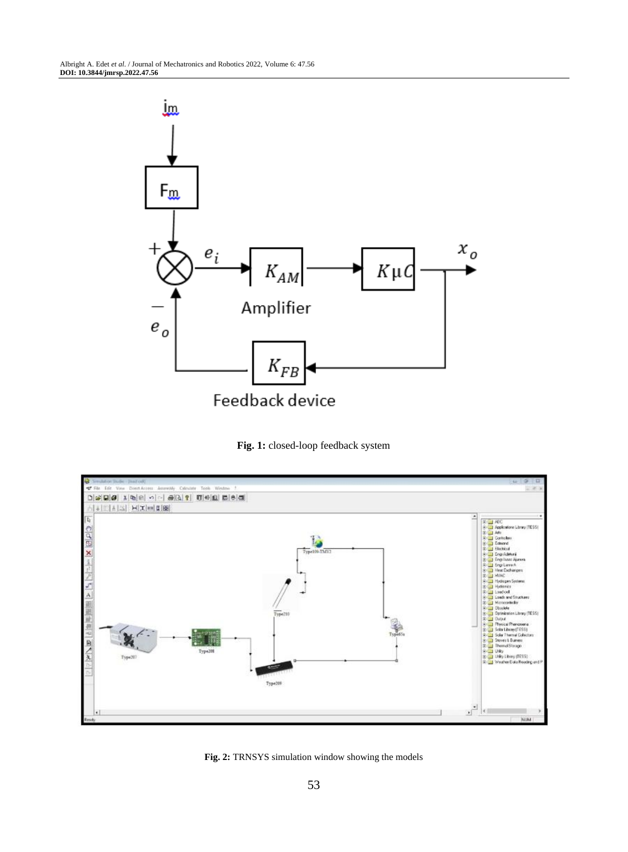

**Fig. 1:** closed-loop feedback system



**Fig. 2:** TRNSYS simulation window showing the models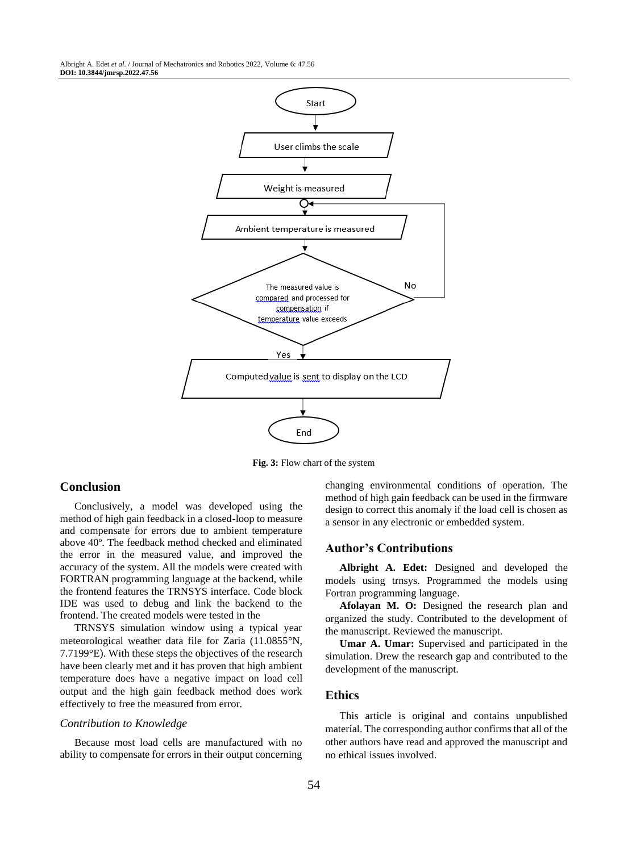Albright A. Edet *et al*. / Journal of Mechatronics and Robotics 2022, Volume 6: 47.56 **DOI: 10.3844/jmrsp.2022.47.56**



**Fig. 3:** Flow chart of the system

## **Conclusion**

Conclusively, a model was developed using the method of high gain feedback in a closed-loop to measure and compensate for errors due to ambient temperature above 40º. The feedback method checked and eliminated the error in the measured value, and improved the accuracy of the system. All the models were created with FORTRAN programming language at the backend, while the frontend features the TRNSYS interface. Code block IDE was used to debug and link the backend to the frontend. The created models were tested in the

TRNSYS simulation window using a typical year meteorological weather data file for Zaria (11.0855°N, 7.7199°E). With these steps the objectives of the research have been clearly met and it has proven that high ambient temperature does have a negative impact on load cell output and the high gain feedback method does work effectively to free the measured from error.

#### *Contribution to Knowledge*

Because most load cells are manufactured with no ability to compensate for errors in their output concerning changing environmental conditions of operation. The method of high gain feedback can be used in the firmware design to correct this anomaly if the load cell is chosen as a sensor in any electronic or embedded system.

## **Author's Contributions**

**Albright A. Edet:** Designed and developed the models using trnsys. Programmed the models using Fortran programming language.

**Afolayan M. O:** Designed the research plan and organized the study. Contributed to the development of the manuscript. Reviewed the manuscript.

**Umar A. Umar:** Supervised and participated in the simulation. Drew the research gap and contributed to the development of the manuscript.

## **Ethics**

This article is original and contains unpublished material. The corresponding author confirms that all of the other authors have read and approved the manuscript and no ethical issues involved.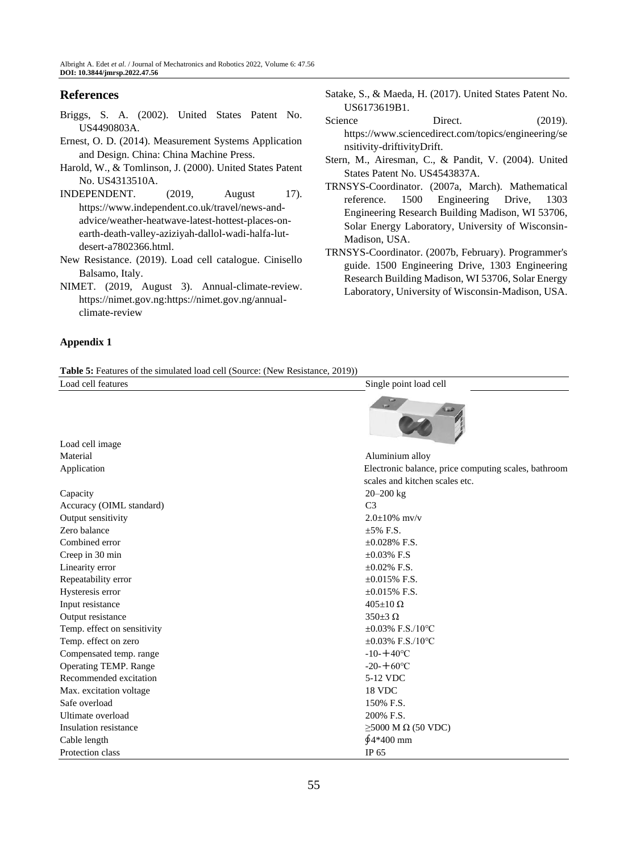# **References**

- Briggs, S. A. (2002). United States Patent No. US4490803A.
- Ernest, O. D. (2014). Measurement Systems Application and Design. China: China Machine Press.
- Harold, W., & Tomlinson, J. (2000). United States Patent No. US4313510A.
- INDEPENDENT. (2019, August 17). [https://www.independent.co.uk/travel/news-and](https://www.independent.co.uk/travel/news-and-advice/weather-heatwave-latest-hottest-places-on-earth-death-valley-aziziyah-dallol-wadi-halfa-lut-desert-a7802366.html)[advice/weather-heatwave-latest-hottest-places-on](https://www.independent.co.uk/travel/news-and-advice/weather-heatwave-latest-hottest-places-on-earth-death-valley-aziziyah-dallol-wadi-halfa-lut-desert-a7802366.html)[earth-death-valley-aziziyah-dallol-wadi-halfa-lut](https://www.independent.co.uk/travel/news-and-advice/weather-heatwave-latest-hottest-places-on-earth-death-valley-aziziyah-dallol-wadi-halfa-lut-desert-a7802366.html)[desert-a7802366.html.](https://www.independent.co.uk/travel/news-and-advice/weather-heatwave-latest-hottest-places-on-earth-death-valley-aziziyah-dallol-wadi-halfa-lut-desert-a7802366.html)
- New Resistance. (2019). Load cell catalogue. Cinisello Balsamo, Italy.
- NIMET. (2019, August 3). Annual-climate-review. [https://nimet.gov.ng:](https://nimet.gov.ng/)[https://nimet.gov.ng/annual](https://nimet.gov.ng/annual-climate-review)[climate-review](https://nimet.gov.ng/annual-climate-review)

## **Appendix 1**

Satake, S., & Maeda, H. (2017). United States Patent No. US6173619B1.

- Science Direct. (2019). [https://www.sciencedirect.com/topics/engineering/se](https://www.sciencedirect.com/topics/engineering/sensitivity-driftivity) [nsitivity-driftivityD](https://www.sciencedirect.com/topics/engineering/sensitivity-driftivity)rift.
- Stern, M., Airesman, C., & Pandit, V. (2004). United States Patent No. US4543837A.
- TRNSYS-Coordinator. (2007a, March). Mathematical reference. 1500 Engineering Drive, 1303 Engineering Research Building Madison, WI 53706, Solar Energy Laboratory, University of Wisconsin-Madison, USA.
- TRNSYS-Coordinator. (2007b, February). Programmer's guide. 1500 Engineering Drive, 1303 Engineering Research Building Madison, WI 53706, Solar Energy Laboratory, University of Wisconsin-Madison, USA.

|  |  |  |  |  | <b>Table 5:</b> Features of the simulated load cell (Source: (New Resistance, 2019)) |  |
|--|--|--|--|--|--------------------------------------------------------------------------------------|--|
|  |  |  |  |  |                                                                                      |  |

| Load cell features          | Single point load cell                               |  |  |  |
|-----------------------------|------------------------------------------------------|--|--|--|
| Load cell image             |                                                      |  |  |  |
| Material                    | Aluminium alloy                                      |  |  |  |
| Application                 | Electronic balance, price computing scales, bathroom |  |  |  |
|                             | scales and kitchen scales etc.                       |  |  |  |
| Capacity                    | $20 - 200$ kg                                        |  |  |  |
| Accuracy (OIML standard)    | C <sub>3</sub>                                       |  |  |  |
| Output sensitivity          | $2.0 + 10\%$ mv/v                                    |  |  |  |
| Zero balance                | $+5\%$ F.S.                                          |  |  |  |
| Combined error              | $+0.028\%$ F.S.                                      |  |  |  |
| Creep in 30 min             | $\pm 0.03\%$ F.S                                     |  |  |  |
| Linearity error             | $\pm 0.02\%$ F.S.                                    |  |  |  |
| Repeatability error         | $\pm 0.015\%$ F.S.                                   |  |  |  |
| Hysteresis error            | $\pm 0.015\%$ F.S.                                   |  |  |  |
| Input resistance            | $405 \pm 10 \Omega$                                  |  |  |  |
| Output resistance           | $350\pm 3$ $\Omega$                                  |  |  |  |
| Temp. effect on sensitivity | $\pm 0.03\%$ F.S./10°C                               |  |  |  |
| Temp. effect on zero        | $\pm 0.03\%$ F.S./10 °C                              |  |  |  |
| Compensated temp. range     | $-10-+40$ °C                                         |  |  |  |
| Operating TEMP. Range       | $-20 - +60$ °C                                       |  |  |  |
| Recommended excitation      | 5-12 VDC                                             |  |  |  |
| Max. excitation voltage     | 18 VDC                                               |  |  |  |
| Safe overload               | 150% F.S.                                            |  |  |  |
| Ultimate overload           | 200% F.S.                                            |  |  |  |
| Insulation resistance       | $\geq$ 5000 M $\Omega$ (50 VDC)                      |  |  |  |
| Cable length                | $64*400$ mm                                          |  |  |  |
| Protection class            | IP 65                                                |  |  |  |